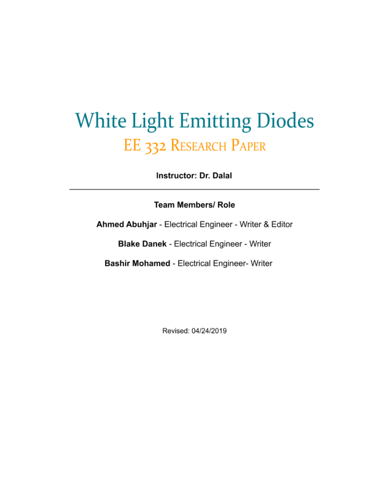# **White Light Emitting Diodes** EE 332 RESEARCH PAPER

**Instructor: Dr. Dalal** 

**Team Members/ Role** 

Ahmed Abuhjar - Electrical Engineer - Writer & Editor

**Blake Danek - Electrical Engineer - Writer** 

Bashir Mohamed - Electrical Engineer- Writer

Revised: 04/24/2019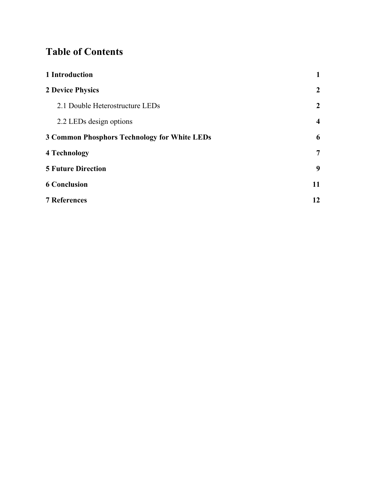# **Table of Contents**

| 1 Introduction                                      | 1              |
|-----------------------------------------------------|----------------|
| <b>2 Device Physics</b>                             | $\overline{2}$ |
| 2.1 Double Heterostructure LEDs                     | $\overline{2}$ |
| 2.2 LEDs design options                             | $\overline{4}$ |
| <b>3 Common Phosphors Technology for White LEDs</b> | 6              |
| 4 Technology                                        | $\overline{7}$ |
| <b>5 Future Direction</b>                           | 9              |
| <b>6 Conclusion</b>                                 | 11             |
| <b>7 References</b>                                 | 12             |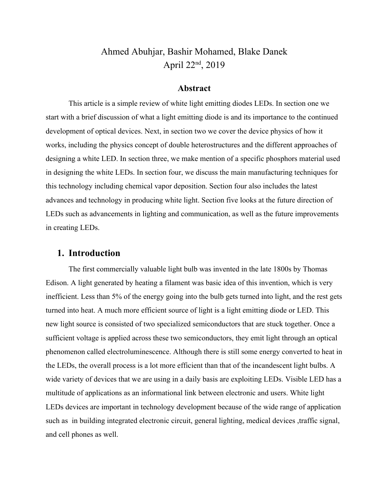## Ahmed Abuhjar, Bashir Mohamed, Blake Danek April 22nd, 2019

#### **Abstract**

This article is a simple review of white light emitting diodes LEDs. In section one we start with a brief discussion of what a light emitting diode is and its importance to the continued development of optical devices. Next, in section two we cover the device physics of how it works, including the physics concept of double heterostructures and the different approaches of designing a white LED. In section three, we make mention of a specific phosphors material used in designing the white LEDs. In section four, we discuss the main manufacturing techniques for this technology including chemical vapor deposition. Section four also includes the latest advances and technology in producing white light. Section five looks at the future direction of LEDs such as advancements in lighting and communication, as well as the future improvements in creating LEDs.

#### **1. Introduction**

The first commercially valuable light bulb was invented in the late 1800s by Thomas Edison. A light generated by heating a filament was basic idea of this invention, which is very inefficient. Less than 5% of the energy going into the bulb gets turned into light, and the rest gets turned into heat. A much more efficient source of light is a light emitting diode or LED. This new light source is consisted of two specialized semiconductors that are stuck together. Once a sufficient voltage is applied across these two semiconductors, they emit light through an optical phenomenon called electroluminescence. Although there is still some energy converted to heat in the LEDs, the overall process is a lot more efficient than that of the incandescent light bulbs. A wide variety of devices that we are using in a daily basis are exploiting LEDs. Visible LED has a multitude of applications as an informational link between electronic and users. White light LEDs devices are important in technology development because of the wide range of application such as in building integrated electronic circuit, general lighting, medical devices ,traffic signal, and cell phones as well.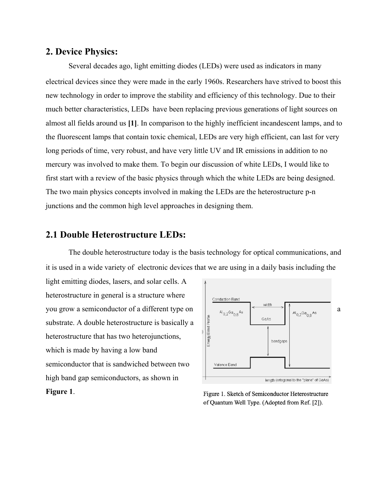#### **2. Device Physics:**

Several decades ago, light emitting diodes (LEDs) were used as indicators in many electrical devices since they were made in the early 1960s. Researchers have strived to boost this new technology in order to improve the stability and efficiency of this technology. Due to their much better characteristics, LEDs have been replacing previous generations of light sources on almost all fields around us **[1]**. In comparison to the highly inefficient incandescent lamps, and to the fluorescent lamps that contain toxic chemical, LEDs are very high efficient, can last for very long periods of time, very robust, and have very little UV and IR emissions in addition to no mercury was involved to make them. To begin our discussion of white LEDs, I would like to first start with a review of the basic physics through which the white LEDs are being designed. The two main physics concepts involved in making the LEDs are the heterostructure p-n junctions and the common high level approaches in designing them.

#### **2.1 Double Heterostructure LEDs:**

The double heterostructure today is the basis technology for optical communications, and it is used in a wide variety of electronic devices that we are using in a daily basis including the

light emitting diodes, lasers, and solar cells. A heterostructure in general is a structure where you grow a semiconductor of a different type on  $\left[\begin{array}{cc} \sqrt{a_{0,2}a_{0,8}} & \rightarrow \end{array}\right]$   $\left[\begin{array}{cc} \frac{\sqrt{a_{0,2}a_{0,8}}}{a_{0,2}a_{0,8}} & a_{0,2}a_{0,8} & a_{0,2}a_{0,8} & a_{0,2}a_{0,8} & a_{0,2}a_{0,8} & a_{0,2}a_{0,8} & a_{0,2}a_{0,8} & a_{0,2}a_{0,8} & a_{0,$ substrate. A double heterostructure is basically a heterostructure that has two heterojunctions, which is made by having a low band semiconductor that is sandwiched between two high band gap semiconductors, as shown in **Figure 1**.



Figure 1. Sketch of Semiconductor Heterostructure of Quantum Well Type. (Adopted from Ref. [2]).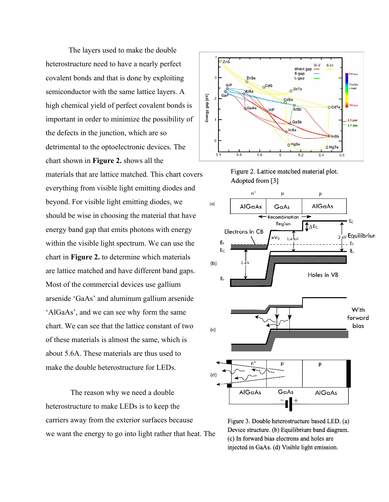The layers used to make the double heterostructure need to have a nearly perfect covalent bonds and that is done by exploiting semiconductor with the same lattice layers. A high chemical yield of perfect covalent bonds is important in order to minimize the possibility of the defects in the junction, which are so detrimental to the optoelectronic devices. The chart shown in **Figure 2.** shows all the materials that are lattice matched. This chart covers everything from visible light emitting diodes and beyond. For visible light emitting diodes, we should be wise in choosing the material that have energy band gap that emits photons with energy within the visible light spectrum. We can use the chart in **Figure 2.** to determine which materials are lattice matched and have different band gaps. Most of the commercial devices use gallium arsenide 'GaAs' and aluminum gallium arsenide 'AlGaAs', and we can see why form the same chart. We can see that the lattice constant of two of these materials is almost the same, which is about 5.6A. These materials are thus used to make the double heterostructure for LEDs.

 The reason why we need a double heterostructure to make LEDs is to keep the carriers away from the exterior surfaces because we want the energy to go into light rather that heat. The







Figure 3. Double heterostructure based LED. (a) Device structure. (b) Equilibrium band diagram. (c) In forward bias electrons and holes are injected in GaAs. (d) Visible light emission.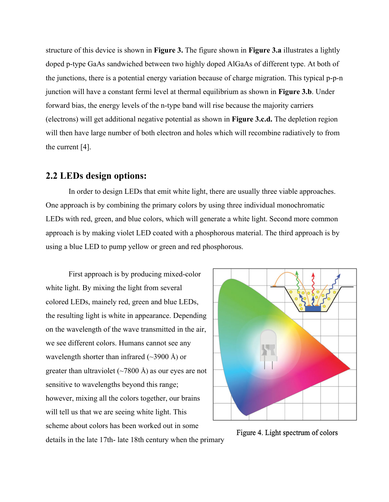structure of this device is shown in **Figure 3.** The figure shown in **Figure 3.a** illustrates a lightly doped p-type GaAs sandwiched between two highly doped AlGaAs of different type. At both of the junctions, there is a potential energy variation because of charge migration. This typical p-p-n junction will have a constant fermi level at thermal equilibrium as shown in **Figure 3.b**. Under forward bias, the energy levels of the n-type band will rise because the majority carriers (electrons) will get additional negative potential as shown in **Figure 3.c.d.** The depletion region will then have large number of both electron and holes which will recombine radiatively to from the current [4].

#### **2.2 LEDs design options:**

In order to design LEDs that emit white light, there are usually three viable approaches. One approach is by combining the primary colors by using three individual monochromatic LEDs with red, green, and blue colors, which will generate a white light. Second more common approach is by making violet LED coated with a phosphorous material. The third approach is by using a blue LED to pump yellow or green and red phosphorous.

First approach is by producing mixed-color white light. By mixing the light from several colored LEDs, mainely red, green and blue LEDs, the resulting light is white in appearance. Depending on the wavelength of the wave transmitted in the air, we see different colors. Humans cannot see any wavelength shorter than infrared  $(\sim 3900 \text{ Å})$  or greater than ultraviolet  $(\sim 7800 \text{ Å})$  as our eyes are not sensitive to wavelengths beyond this range; however, mixing all the colors together, our brains will tell us that we are seeing white light. This scheme about colors has been worked out in some





details in the late 17th- late 18th century when the primary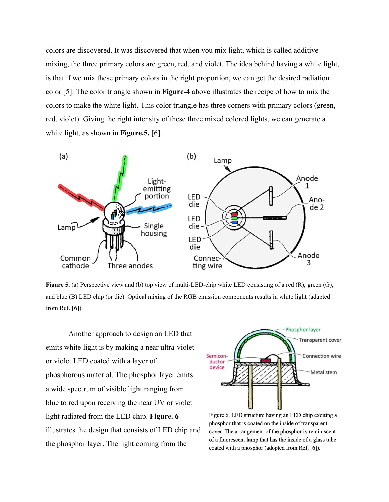colors are discovered. It was discovered that when you mix light, which is called additive mixing, the three primary colors are green, red, and violet. The idea behind having a white light, is that if we mix these primary colors in the right proportion, we can get the desired radiation color [5]. The color triangle shown in **Figure-4** above illustrates the recipe of how to mix the colors to make the white light. This color triangle has three corners with primary colors (green, red, violet). Giving the right intensity of these three mixed colored lights, we can generate a white light, as shown in **Figure.5.** [6].



**Figure 5.** (a) Perspective view and (b) top view of multi-LED-chip white LED consisting of a red (R), green (G), and blue (B) LED chip (or die). Optical mixing of the RGB emission components results in white light (adapted from Ref. [6]).

Another approach to design an LED that emits white light is by making a near ultra-violet or violet LED coated with a layer of phosphorous material. The phosphor layer emits a wide spectrum of visible light ranging from blue to red upon receiving the near UV or violet light radiated from the LED chip. **Figure. 6** illustrates the design that consists of LED chip and the phosphor layer. The light coming from the



Figure 6. LED structure having an LED chip exciting a phosphor that is coated on the inside of transparent cover. The arrangement of the phosphor is reminiscent of a fluorescent lamp that has the inside of a glass tube coated with a phosphor (adopted from Ref. [6]).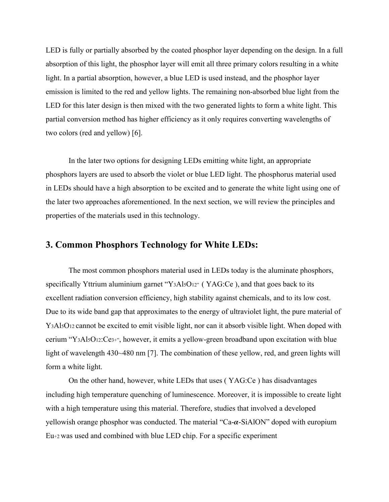LED is fully or partially absorbed by the coated phosphor layer depending on the design. In a full absorption of this light, the phosphor layer will emit all three primary colors resulting in a white light. In a partial absorption, however, a blue LED is used instead, and the phosphor layer emission is limited to the red and yellow lights. The remaining non-absorbed blue light from the LED for this later design is then mixed with the two generated lights to form a white light. This partial conversion method has higher efficiency as it only requires converting wavelengths of two colors (red and yellow) [6].

In the later two options for designing LEDs emitting white light, an appropriate phosphors layers are used to absorb the violet or blue LED light. The phosphorus material used in LEDs should have a high absorption to be excited and to generate the white light using one of the later two approaches aforementioned. In the next section, we will review the principles and properties of the materials used in this technology.

#### **3. Common Phosphors Technology for White LEDs:**

The most common phosphors material used in LEDs today is the aluminate phosphors, specifically Yttrium aluminium garnet "Y<sub>3</sub>Al<sub>5</sub>O<sub>12"</sub> (YAG:Ce), and that goes back to its excellent radiation conversion efficiency, high stability against chemicals, and to its low cost. Due to its wide band gap that approximates to the energy of ultraviolet light, the pure material of Y<sub>3</sub>Al<sub>5</sub>O<sub>12</sub> cannot be excited to emit visible light, nor can it absorb visible light. When doped with cerium "Y3Al5O12:Ce3+", however, it emits a yellow-green broadband upon excitation with blue light of wavelength 430~480 nm [7]. The combination of these yellow, red, and green lights will form a white light.

On the other hand, however, white LEDs that uses ( YAG:Ce ) has disadvantages including high temperature quenching of luminescence. Moreover, it is impossible to create light with a high temperature using this material. Therefore, studies that involved a developed yellowish orange phosphor was conducted. The material "Ca- $\alpha$ -SiAlON" doped with europium Eu+2 was used and combined with blue LED chip. For a specific experiment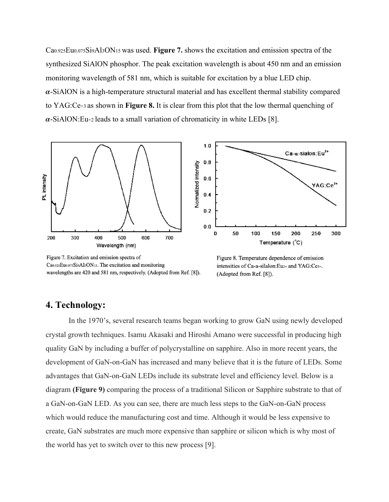Ca0.925Eu0.075Si9Al3ON<sup>15</sup> was used. **Figure 7.** shows the excitation and emission spectra of the synthesized SiAlON phosphor. The peak excitation wavelength is about 450 nm and an emission monitoring wavelength of 581 nm, which is suitable for excitation by a blue LED chip.  $\alpha$ -SiAlON is a high-temperature structural material and has excellent thermal stability compared to YAG:Ce+3 as shown in **Figure 8.** It is clear from this plot that the low thermal quenching of  $\alpha$ -SiAlON:Eu+2 leads to a small variation of chromaticity in white LEDs [8].



Figure 7. Excitation and emission spectra of Ca0.925Eu0.075Si9Al3ON15. The excitation and monitoring wavelengths are 420 and 581 nm, respectively. (Adopted from Ref. [8]).

Figure 8. Temperature dependence of emission intensities of Ca-a-silalon:Eu<sub>2+</sub> and YAG:Ce<sub>3+</sub>. (Adopted from Ref. [8]).

#### **4. Technology:**

In the 1970's, several research teams began working to grow GaN using newly developed crystal growth techniques. Isamu Akasaki and Hiroshi Amano were successful in producing high quality GaN by including a buffer of polycrystalline on sapphire. Also in more recent years, the development of GaN-on-GaN has increased and many believe that it is the future of LEDs. Some advantages that GaN-on-GaN LEDs include its substrate level and efficiency level. Below is a diagram **(Figure 9)** comparing the process of a traditional Silicon or Sapphire substrate to that of a GaN-on-GaN LED. As you can see, there are much less steps to the GaN-on-GaN process which would reduce the manufacturing cost and time. Although it would be less expensive to create, GaN substrates are much more expensive than sapphire or silicon which is why most of the world has yet to switch over to this new process [9].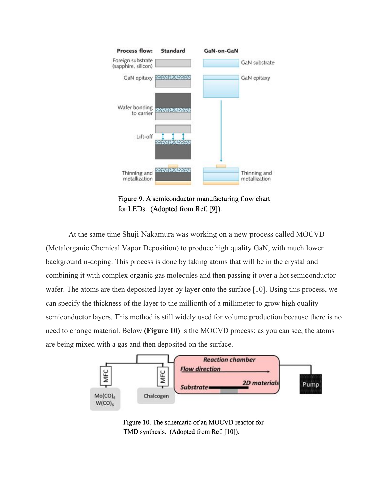

Figure 9. A semiconductor manufacturing flow chart for LEDs. (Adopted from Ref. [9]).

At the same time Shuji Nakamura was working on a new process called MOCVD (Metalorganic Chemical Vapor Deposition) to produce high quality GaN, with much lower background n-doping. This process is done by taking atoms that will be in the crystal and combining it with complex organic gas molecules and then passing it over a hot semiconductor wafer. The atoms are then deposited layer by layer onto the surface [10]. Using this process, we can specify the thickness of the layer to the millionth of a millimeter to grow high quality semiconductor layers. This method is still widely used for volume production because there is no need to change material. Below **(Figure 10)** is the MOCVD process; as you can see, the atoms are being mixed with a gas and then deposited on the surface.



Figure 10. The schematic of an MOCVD reactor for TMD synthesis. (Adopted from Ref. [10]).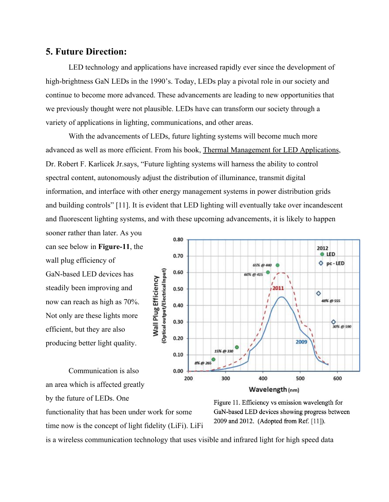#### **5. Future Direction:**

LED technology and applications have increased rapidly ever since the development of high-brightness GaN LEDs in the 1990's. Today, LEDs play a pivotal role in our society and continue to become more advanced. These advancements are leading to new opportunities that we previously thought were not plausible. LEDs have can transform our society through a variety of applications in lighting, communications, and other areas.

With the advancements of LEDs, future lighting systems will become much more advanced as well as more efficient. From his book, Thermal Management for LED Applications, Dr. Robert F. Karlicek Jr.says, "Future lighting systems will harness the ability to control spectral content, autonomously adjust the distribution of illuminance, transmit digital information, and interface with other energy management systems in power distribution grids and building controls" [11]. It is evident that LED lighting will eventually take over incandescent and fluorescent lighting systems, and with these upcoming advancements, it is likely to happen

sooner rather than later. As you can see below in **Figure-11**, the wall plug efficiency of GaN-based LED devices has steadily been improving and now can reach as high as 70%. Not only are these lights more efficient, but they are also producing better light quality.

Communication is also an area which is affected greatly by the future of LEDs. One



functionality that has been under work for some time now is the concept of light fidelity (LiFi). LiFi Figure 11. Efficiency vs emission wavelength for GaN-based LED devices showing progress between 2009 and 2012. (Adopted from Ref. [11]).

is a wireless communication technology that uses visible and infrared light for high speed data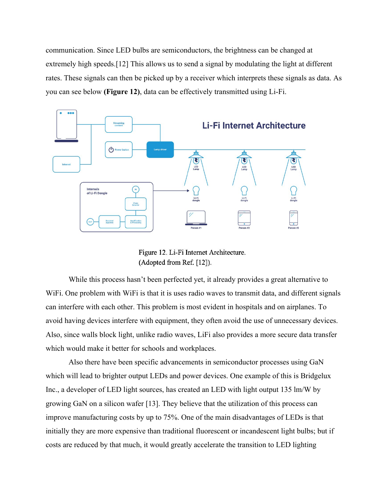communication. Since LED bulbs are semiconductors, the brightness can be changed at extremely high speeds.[12] This allows us to send a signal by modulating the light at different rates. These signals can then be picked up by a receiver which interprets these signals as data. As you can see below **(Figure 12)**, data can be effectively transmitted using Li-Fi.



Figure 12. Li-Fi Internet Architecture. (Adopted from Ref. [12]).

While this process hasn't been perfected yet, it already provides a great alternative to WiFi. One problem with WiFi is that it is uses radio waves to transmit data, and different signals can interfere with each other. This problem is most evident in hospitals and on airplanes. To avoid having devices interfere with equipment, they often avoid the use of unnecessary devices. Also, since walls block light, unlike radio waves, LiFi also provides a more secure data transfer which would make it better for schools and workplaces.

Also there have been specific advancements in semiconductor processes using GaN which will lead to brighter output LEDs and power devices. One example of this is Bridgelux Inc., a developer of LED light sources, has created an LED with light output 135 lm/W by growing GaN on a silicon wafer [13]. They believe that the utilization of this process can improve manufacturing costs by up to 75%. One of the main disadvantages of LEDs is that initially they are more expensive than traditional fluorescent or incandescent light bulbs; but if costs are reduced by that much, it would greatly accelerate the transition to LED lighting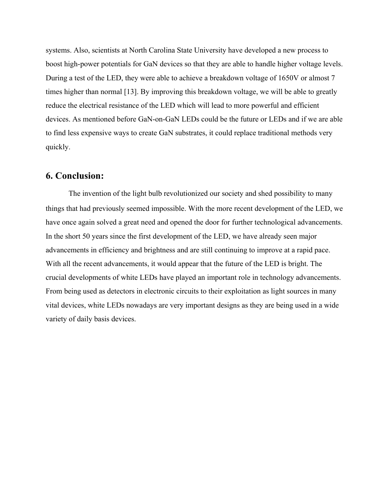systems. Also, scientists at North Carolina State University have developed a new process to boost high-power potentials for GaN devices so that they are able to handle higher voltage levels. During a test of the LED, they were able to achieve a breakdown voltage of 1650V or almost 7 times higher than normal [13]. By improving this breakdown voltage, we will be able to greatly reduce the electrical resistance of the LED which will lead to more powerful and efficient devices. As mentioned before GaN-on-GaN LEDs could be the future or LEDs and if we are able to find less expensive ways to create GaN substrates, it could replace traditional methods very quickly.

#### **6. Conclusion:**

The invention of the light bulb revolutionized our society and shed possibility to many things that had previously seemed impossible. With the more recent development of the LED, we have once again solved a great need and opened the door for further technological advancements. In the short 50 years since the first development of the LED, we have already seen major advancements in efficiency and brightness and are still continuing to improve at a rapid pace. With all the recent advancements, it would appear that the future of the LED is bright. The crucial developments of white LEDs have played an important role in technology advancements. From being used as detectors in electronic circuits to their exploitation as light sources in many vital devices, white LEDs nowadays are very important designs as they are being used in a wide variety of daily basis devices.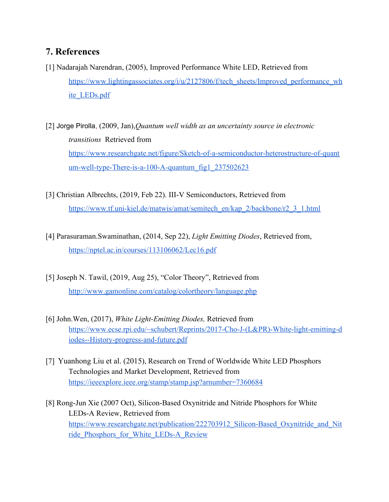### **7. References**

- [1] Nadarajah Narendran, (2005), Improved Performance White LED, Retrieved from [https://www.lightingassociates.org/i/u/2127806/f/tech\\_sheets/Improved\\_performance\\_wh](https://www.lightingassociates.org/i/u/2127806/f/tech_sheets/Improved_performance_white_LEDs.pdf) [ite\\_LEDs.pdf](https://www.lightingassociates.org/i/u/2127806/f/tech_sheets/Improved_performance_white_LEDs.pdf)
- [2] Jorge Pirolla, (2009, Jan),*Quantum well width as an uncertainty source in electronic transitions* Retrieved from [https://www.researchgate.net/figure/Sketch-of-a-semiconductor-heterostructure-of-quant](https://www.researchgate.net/figure/Sketch-of-a-semiconductor-heterostructure-of-quantum-well-type-There-is-a-100-A-quantum_fig1_237502623) um-well-type-There-is-a-100-A-quantum fig1 237502623
- [3] Christian Albrechts, (2019, Feb 22). III-V Semiconductors, Retrieved from [https://www.tf.uni-kiel.de/matwis/amat/semitech\\_en/kap\\_2/backbone/r2\\_3\\_1.html](https://www.tf.uni-kiel.de/matwis/amat/semitech_en/kap_2/backbone/r2_3_1.html)
- [4] Parasuraman.Swaminathan, (2014, Sep 22), *Light Emitting Diodes*, Retrieved from, <https://nptel.ac.in/courses/113106062/Lec16.pdf>
- [5] Joseph N. Tawil, (2019, Aug 25), "Color Theory", Retrieved from <http://www.gamonline.com/catalog/colortheory/language.php>
- [6] John.Wen, (2017), *White Light-Emitting Diodes,* Retrieved from [https://www.ecse.rpi.edu/~schubert/Reprints/2017-Cho-J-\(L&PR\)-White-light-emitting-d](https://www.ecse.rpi.edu/~schubert/Reprints/2017-Cho-J-(L&PR)-White-light-emitting-diodes--History-progress-and-future.pdf) [iodes--History-progress-and-future.pdf](https://www.ecse.rpi.edu/~schubert/Reprints/2017-Cho-J-(L&PR)-White-light-emitting-diodes--History-progress-and-future.pdf)
- [7] Yuanhong Liu et al. (2015), Research on Trend of Worldwide White LED Phosphors Technologies and Market Development, Retrieved from <https://ieeexplore.ieee.org/stamp/stamp.jsp?arnumber=7360684>
- [8] Rong-Jun Xie (2007 Oct), Silicon-Based Oxynitride and Nitride Phosphors for White LEDs-A Review, Retrieved from [https://www.researchgate.net/publication/222703912\\_Silicon-Based\\_Oxynitride\\_and\\_Nit](https://www.researchgate.net/publication/222703912_Silicon-Based_Oxynitride_and_Nitride_Phosphors_for_White_LEDs-A_Review) [ride\\_Phosphors\\_for\\_White\\_LEDs-A\\_Review](https://www.researchgate.net/publication/222703912_Silicon-Based_Oxynitride_and_Nitride_Phosphors_for_White_LEDs-A_Review)